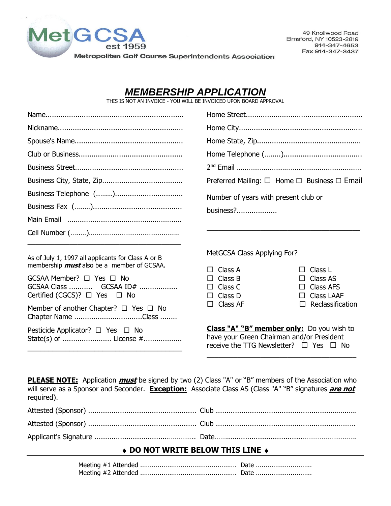

49 Knollwood Road Elmsford, NY 10523-2819 914-347-4653 Fax 914-347-3437

*MEMBERSHIP APPLICATION* 

THIS IS NOT AN INVOICE - YOU WILL BE INVOICED UPON BOARD APPROVAL

|                                                                       | Preferred Mailing: $\Box$ Home $\Box$ Business $\Box$ Email                                                                                       |                                       |  |
|-----------------------------------------------------------------------|---------------------------------------------------------------------------------------------------------------------------------------------------|---------------------------------------|--|
|                                                                       | Number of years with present club or                                                                                                              |                                       |  |
|                                                                       | $business?$                                                                                                                                       |                                       |  |
|                                                                       |                                                                                                                                                   |                                       |  |
|                                                                       |                                                                                                                                                   |                                       |  |
| As of July 1, 1997 all applicants for Class A or B                    | MetGCSA Class Applying For?                                                                                                                       |                                       |  |
| membership <i>must</i> also be a member of GCSAA.                     | Class A<br>П                                                                                                                                      | Class L                               |  |
| GCSAA Member? $\Box$ Yes $\Box$ No                                    | Class B<br>П.                                                                                                                                     | $\Box$ Class AS                       |  |
| GCSAA Class  GCSAA ID#<br>Certified (CGCS)? $\Box$ Yes $\Box$ No      | Class C<br>Class D<br>П                                                                                                                           | $\Box$ Class AFS<br>$\Box$ Class LAAF |  |
|                                                                       | Class AF<br>П                                                                                                                                     | Reclassification<br>П                 |  |
| Member of another Chapter? $\Box$ Yes $\Box$ No<br>Chapter Name Class |                                                                                                                                                   |                                       |  |
| Pesticide Applicator? $\Box$ Yes $\Box$ No                            | <b>Class "A" "B" member only:</b> Do you wish to<br>have your Green Chairman and/or President<br>receive the TTG Newsletter? $\Box$ Yes $\Box$ No |                                       |  |
|                                                                       |                                                                                                                                                   |                                       |  |

**PLEASE NOTE:** Application **must** be signed by two (2) Class "A" or "B" members of the Association who will serve as a Sponsor and Seconder. **Exception:** Associate Class AS (Class "A" "B" signatures **are not** required).

## **DO NOT WRITE BELOW THIS LINE**